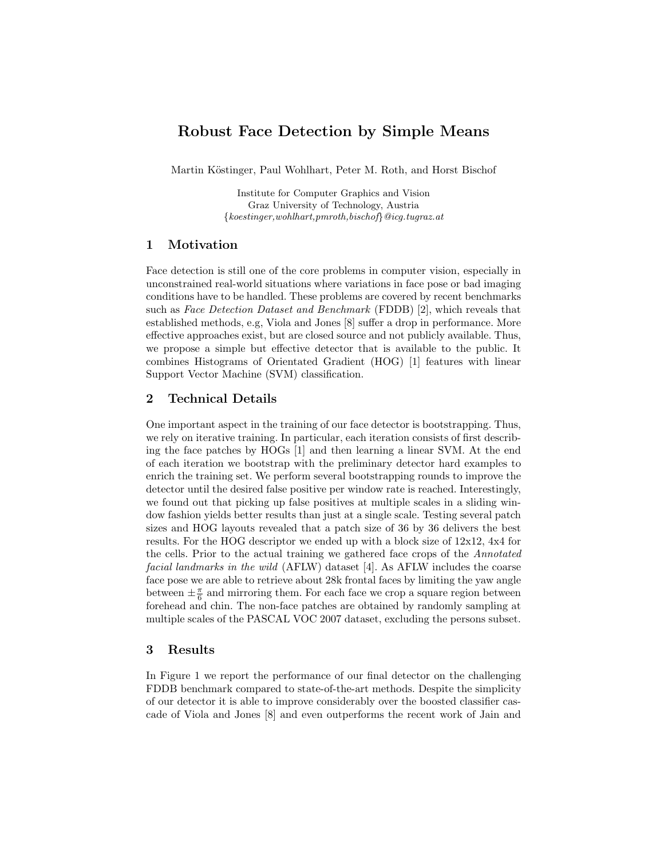# Robust Face Detection by Simple Means

Martin Köstinger, Paul Wohlhart, Peter M. Roth, and Horst Bischof

Institute for Computer Graphics and Vision Graz University of Technology, Austria  $\{koestinger, wohlhart, pmroth, bischoff\}$ @icq.tugraz.at

### 1 Motivation

Face detection is still one of the core problems in computer vision, especially in unconstrained real-world situations where variations in face pose or bad imaging conditions have to be handled. These problems are covered by recent benchmarks such as Face Detection Dataset and Benchmark (FDDB) [2], which reveals that established methods, e.g, Viola and Jones [8] suffer a drop in performance. More effective approaches exist, but are closed source and not publicly available. Thus, we propose a simple but effective detector that is available to the public. It combines Histograms of Orientated Gradient (HOG) [1] features with linear Support Vector Machine (SVM) classification.

# 2 Technical Details

One important aspect in the training of our face detector is bootstrapping. Thus, we rely on iterative training. In particular, each iteration consists of first describing the face patches by HOGs [1] and then learning a linear SVM. At the end of each iteration we bootstrap with the preliminary detector hard examples to enrich the training set. We perform several bootstrapping rounds to improve the detector until the desired false positive per window rate is reached. Interestingly, we found out that picking up false positives at multiple scales in a sliding window fashion yields better results than just at a single scale. Testing several patch sizes and HOG layouts revealed that a patch size of 36 by 36 delivers the best results. For the HOG descriptor we ended up with a block size of 12x12, 4x4 for the cells. Prior to the actual training we gathered face crops of the Annotated facial landmarks in the wild (AFLW) dataset [4]. As AFLW includes the coarse face pose we are able to retrieve about 28k frontal faces by limiting the yaw angle between  $\pm \frac{\pi}{6}$  and mirroring them. For each face we crop a square region between forehead and chin. The non-face patches are obtained by randomly sampling at multiple scales of the PASCAL VOC 2007 dataset, excluding the persons subset.

### 3 Results

In Figure 1 we report the performance of our final detector on the challenging FDDB benchmark compared to state-of-the-art methods. Despite the simplicity of our detector it is able to improve considerably over the boosted classifier cascade of Viola and Jones [8] and even outperforms the recent work of Jain and